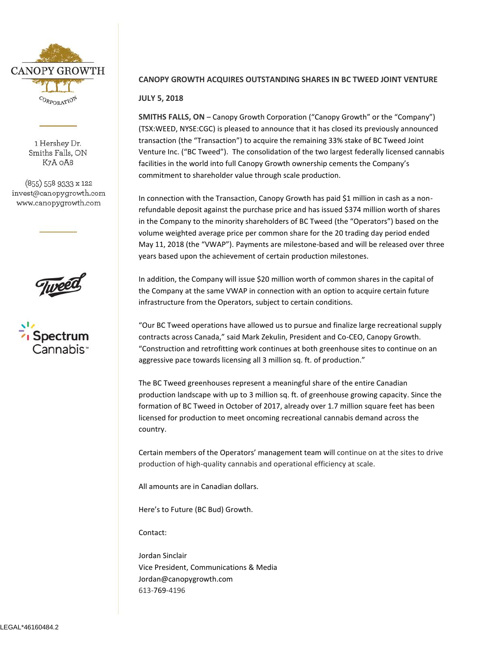

1 Hershey Dr. Smiths Falls, ON K7A OA8

(855) 558 9333 x 122 invest@canopygrowth.com www.canopygrowth.com





## **CANOPY GROWTH ACQUIRES OUTSTANDING SHARES IN BC TWEED JOINT VENTURE**

## **JULY 5, 2018**

**SMITHS FALLS, ON** – Canopy Growth Corporation ("Canopy Growth" or the "Company") (TSX:WEED, NYSE:CGC) is pleased to announce that it has closed its previously announced transaction (the "Transaction") to acquire the remaining 33% stake of BC Tweed Joint Venture Inc. ("BC Tweed"). The consolidation of the two largest federally licensed cannabis facilities in the world into full Canopy Growth ownership cements the Company's commitment to shareholder value through scale production.

In connection with the Transaction, Canopy Growth has paid \$1 million in cash as a nonrefundable deposit against the purchase price and has issued \$374 million worth of shares in the Company to the minority shareholders of BC Tweed (the "Operators") based on the volume weighted average price per common share for the 20 trading day period ended May 11, 2018 (the "VWAP"). Payments are milestone-based and will be released over three years based upon the achievement of certain production milestones.

In addition, the Company will issue \$20 million worth of common shares in the capital of the Company at the same VWAP in connection with an option to acquire certain future infrastructure from the Operators, subject to certain conditions.

"Our BC Tweed operations have allowed us to pursue and finalize large recreational supply contracts across Canada," said Mark Zekulin, President and Co-CEO, Canopy Growth. "Construction and retrofitting work continues at both greenhouse sites to continue on an aggressive pace towards licensing all 3 million sq. ft. of production."

The BC Tweed greenhouses represent a meaningful share of the entire Canadian production landscape with up to 3 million sq. ft. of greenhouse growing capacity. Since the formation of BC Tweed in October of 2017, already over 1.7 million square feet has been licensed for production to meet oncoming recreational cannabis demand across the country.

Certain members of the Operators' management team will continue on at the sites to drive production of high-quality cannabis and operational efficiency at scale.

All amounts are in Canadian dollars.

Here's to Future (BC Bud) Growth.

Contact:

Jordan Sinclair Vice President, Communications & Media [Jordan@canopygrowth.com](mailto:Jordan@canopygrowth.com) 613-769-4196